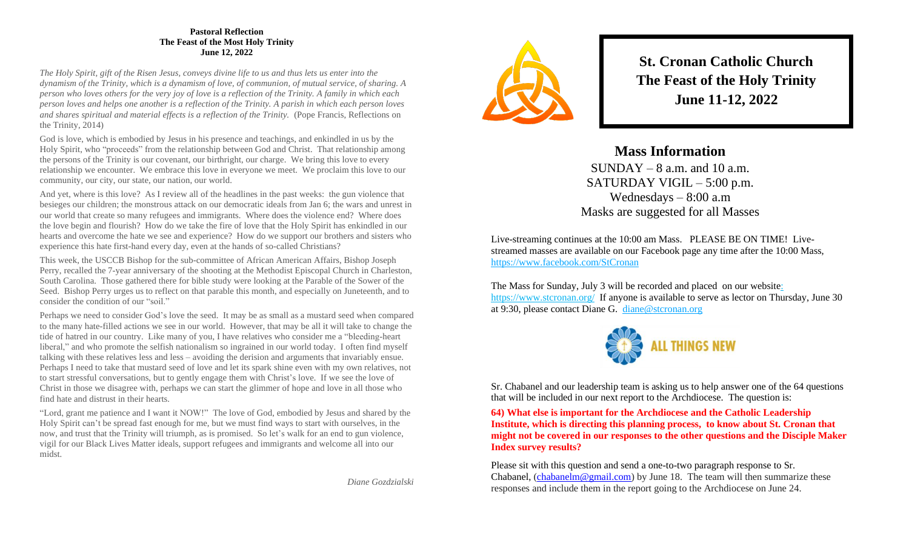## **Pastoral Reflection The Feast of the Most Holy Trinity June 12, 2022**

The Holy Spirit, gift of the Risen Jesus, conveys divine life to us and thus lets us enter into the dynamism of the Trinity, which is a dynamism of love, of communion, of mutual service, of sharing. A person who loves others for the very joy of love is a reflection of the Trinity. A family in which each person loves and helps one another is a reflection of the Trinity. A parish in which each person loves *and shares spiritual and material effects is a reflection of the Trinity.* (Pope Francis, Reflections on the Trinity, 2014)

God is love, which is embodied by Jesus in his presence and teachings, and enkindled in us by the Holy Spirit, who "proceeds" from the relationship between God and Christ. That relationship among the persons of the Trinity is our covenant, our birthright, our charge. We bring this love to every relationship we encounter. We embrace this love in everyone we meet. We proclaim this love to our community, our city, our state, our nation, our world.

And yet, where is this love? As I review all of the headlines in the past weeks: the gun violence that besieges our children; the monstrous attack on our democratic ideals from Jan 6; the wars and unrest in our world that create so many refugees and immigrants. Where does the violence end? Where does the love begin and flourish? How do we take the fire of love that the Holy Spirit has enkindled in our hearts and overcome the hate we see and experience? How do we support our brothers and sisters who experience this hate first-hand every day, even at the hands of so-called Christians?

This week, the USCCB Bishop for the sub-committee of African American Affairs, Bishop Joseph Perry, recalled the 7-year anniversary of the shooting at the Methodist Episcopal Church in Charleston, South Carolina. Those gathered there for bible study were looking at the Parable of the Sower of the Seed. Bishop Perry urges us to reflect on that parable this month, and especially on Juneteenth, and to consider the condition of our "soil."

Perhaps we need to consider God's love the seed. It may be as small as a mustard seed when compared to the many hate-filled actions we see in our world. However, that may be all it will take to change the tide of hatred in our country. Like many of you, I have relatives who consider me a "bleeding-heart liberal," and who promote the selfish nationalism so ingrained in our world today. I often find myself talking with these relatives less and less – avoiding the derision and arguments that invariably ensue. Perhaps I need to take that mustard seed of love and let its spark shine even with my own relatives, not to start stressful conversations, but to gently engage them with Christ's love. If we see the love of Christ in those we disagree with, perhaps we can start the glimmer of hope and love in all those who find hate and distrust in their hearts.

"Lord, grant me patience and I want it NOW!" The love of God, embodied by Jesus and shared by the Holy Spirit can't be spread fast enough for me, but we must find ways to start with ourselves, in the now, and trust that the Trinity will triumph, as is promised. So let's walk for an end to gun violence, vigil for our Black Lives Matter ideals, support refugees and immigrants and welcome all into our midst.

*Diane Gozdzialski*



**St. Cronan Catholic Church The Feast of the Holy Trinity June 11-12, 2022**

**Mass Information**

 $SUNDAY - 8$  a.m. and 10 a.m. SATURDAY VIGIL – 5:00 p.m. Wednesdays – 8:00 a.m Masks are suggested for all Masses

Live-streaming continues at the 10:00 am Mass. PLEASE BE ON TIME! Livestreamed masses are available on our Facebook page any time after the 10:00 Mass, <https://www.facebook.com/StCronan>

The Mass for Sunday, July 3 will be recorded and placed on our websit[e:](https://d.docs.live.net/e2a01ffbd4eb3572/Documents/Monday%20Notes/:%20%20https:/www.stcronan.org/)  [https://www.stcronan.org/](https://d.docs.live.net/e2a01ffbd4eb3572/Documents/Monday%20Notes/:%20%20https:/www.stcronan.org/) If anyone is available to serve as lector on Thursday, June 30 at 9:30, please contact Diane G. [diane@stcronan.org](mailto:diane@stcronan.org)



Sr. Chabanel and our leadership team is asking us to help answer one of the 64 questions that will be included in our next report to the Archdiocese. The question is:

**64) What else is important for the Archdiocese and the Catholic Leadership Institute, which is directing this planning process, to know about St. Cronan that might not be covered in our responses to the other questions and the Disciple Maker Index survey results?**

Please sit with this question and send a one-to-two paragraph response to Sr. Chabanel, [\(chabanelm@gmail.com\)](mailto:chabanelm@gmail.com) by June 18. The team will then summarize these responses and include them in the report going to the Archdiocese on June 24.